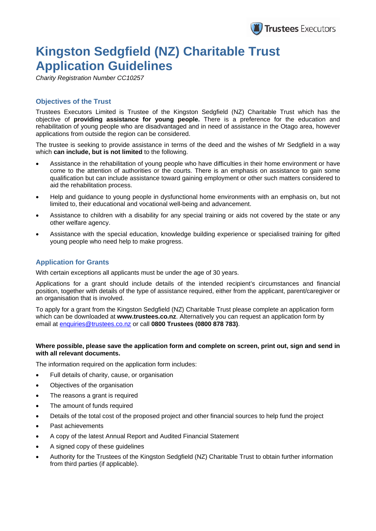

# **Kingston Sedgfield (NZ) Charitable Trust Application Guidelines**

*Charity Registration Number CC10257* 

### **Objectives of the Trust**

Trustees Executors Limited is Trustee of the Kingston Sedgfield (NZ) Charitable Trust which has the objective of **providing assistance for young people.** There is a preference for the education and rehabilitation of young people who are disadvantaged and in need of assistance in the Otago area, however applications from outside the region can be considered.

The trustee is seeking to provide assistance in terms of the deed and the wishes of Mr Sedgfield in a way which **can include, but is not limited** to the following.

- Assistance in the rehabilitation of young people who have difficulties in their home environment or have come to the attention of authorities or the courts. There is an emphasis on assistance to gain some qualification but can include assistance toward gaining employment or other such matters considered to aid the rehabilitation process.
- Help and guidance to young people in dysfunctional home environments with an emphasis on, but not limited to, their educational and vocational well-being and advancement.
- Assistance to children with a disability for any special training or aids not covered by the state or any other welfare agency.
- Assistance with the special education, knowledge building experience or specialised training for gifted young people who need help to make progress.

### **Application for Grants**

With certain exceptions all applicants must be under the age of 30 years.

Applications for a grant should include details of the intended recipient's circumstances and financial position, together with details of the type of assistance required, either from the applicant, parent/caregiver or an organisation that is involved.

To apply for a grant from the Kingston Sedgfield (NZ) Charitable Trust please complete an application form which can be downloaded at **www.trustees.co.nz**. Alternatively you can request an application form by email at enquiries@trustees.co.nz or call **0800 Trustees (0800 878 783)**.

#### **Where possible, please save the application form and complete on screen, print out, sign and send in with all relevant documents.**

The information required on the application form includes:

- Full details of charity, cause, or organisation
- Objectives of the organisation
- The reasons a grant is required
- The amount of funds required
- Details of the total cost of the proposed project and other financial sources to help fund the project
- Past achievements
- A copy of the latest Annual Report and Audited Financial Statement
- A signed copy of these guidelines
- Authority for the Trustees of the Kingston Sedgfield (NZ) Charitable Trust to obtain further information from third parties (if applicable).